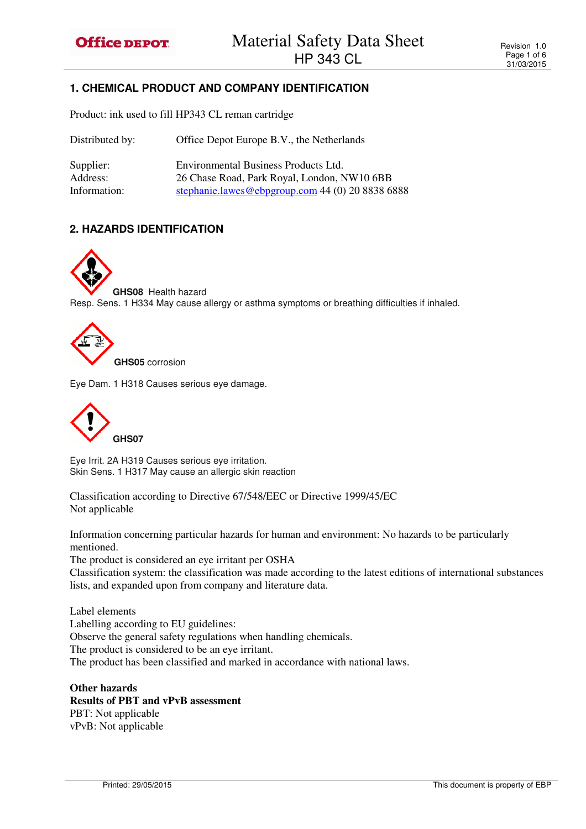# **1. CHEMICAL PRODUCT AND COMPANY IDENTIFICATION**

Product: ink used to fill HP343 CL reman cartridge

| Distributed by:       | Office Depot Europe B.V., the Netherlands                                           |
|-----------------------|-------------------------------------------------------------------------------------|
| Supplier:<br>Address: | Environmental Business Products Ltd.<br>26 Chase Road, Park Royal, London, NW10 6BB |
| Information:          | stephanie.lawes@ebpgroup.com 44 (0) 20 8838 6888                                    |

# **2. HAZARDS IDENTIFICATION**

**GHS08** Health hazard Resp. Sens. 1 H334 May cause allergy or asthma symptoms or breathing difficulties if inhaled.



Eye Dam. 1 H318 Causes serious eye damage.



Eye Irrit. 2A H319 Causes serious eye irritation. Skin Sens. 1 H317 May cause an allergic skin reaction

Classification according to Directive 67/548/EEC or Directive 1999/45/EC Not applicable

Information concerning particular hazards for human and environment: No hazards to be particularly mentioned.

The product is considered an eye irritant per OSHA

Classification system: the classification was made according to the latest editions of international substances lists, and expanded upon from company and literature data.

Label elements Labelling according to EU guidelines: Observe the general safety regulations when handling chemicals. The product is considered to be an eye irritant. The product has been classified and marked in accordance with national laws.

**Other hazards Results of PBT and vPvB assessment**  PBT: Not applicable vPvB: Not applicable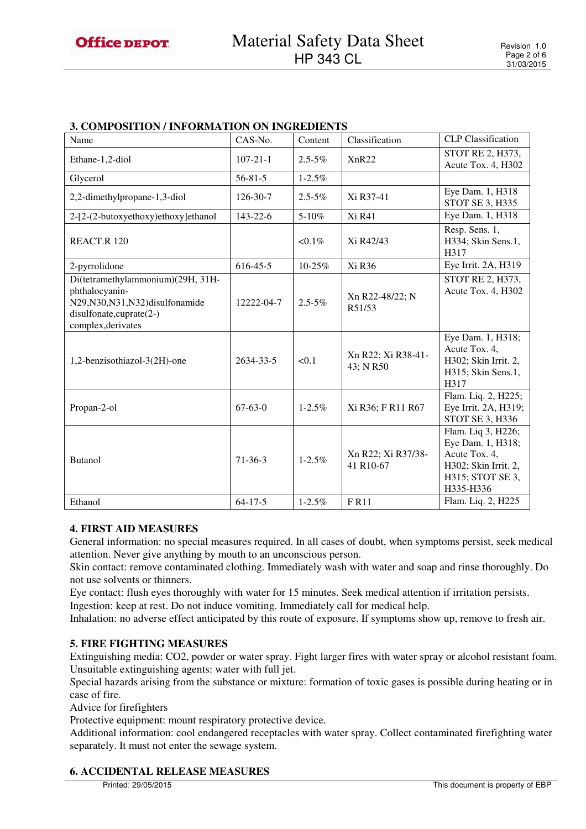| 3. COMPOSITION / INFORMATION ON INGREDIENTS                                                                                                 |                |             |                                 |                                                                                                                   |
|---------------------------------------------------------------------------------------------------------------------------------------------|----------------|-------------|---------------------------------|-------------------------------------------------------------------------------------------------------------------|
| Name                                                                                                                                        | CAS-No.        | Content     | Classification                  | <b>CLP</b> Classification                                                                                         |
| Ethane-1,2-diol                                                                                                                             | $107 - 21 - 1$ | $2.5 - 5\%$ | XnR22                           | STOT RE 2, H373,<br>Acute Tox. 4, H302                                                                            |
| Glycerol                                                                                                                                    | $56 - 81 - 5$  | $1 - 2.5\%$ |                                 |                                                                                                                   |
| 2,2-dimethylpropane-1,3-diol                                                                                                                | 126-30-7       | $2.5 - 5\%$ | Xi R37-41                       | Eye Dam. 1, H318<br>STOT SE 3, H335                                                                               |
| 2-[2-(2-butoxyethoxy)ethoxy]ethanol                                                                                                         | 143-22-6       | 5-10%       | Xi R41                          | Eye Dam. 1, H318                                                                                                  |
| REACT.R 120                                                                                                                                 |                | $< 0.1\%$   | Xi R42/43                       | Resp. Sens. 1,<br>H334; Skin Sens.1,<br>H317                                                                      |
| 2-pyrrolidone                                                                                                                               | $616 - 45 - 5$ | 10-25%      | Xi R36                          | Eye Irrit. 2A, H319                                                                                               |
| Di(tetramethylammonium)(29H, 31H-<br>phthalocyanin-<br>N29, N30, N31, N32) disulfonamide<br>disulfonate, cuprate (2-)<br>complex, derivates | 12222-04-7     | $2.5 - 5\%$ | Xn R22-48/22; N<br>R51/53       | STOT RE 2, H373,<br>Acute Tox. 4, H302                                                                            |
| 1,2-benzisothiazol-3(2H)-one                                                                                                                | 2634-33-5      | < 0.1       | Xn R22; Xi R38-41-<br>43; N R50 | Eye Dam. 1, H318;<br>Acute Tox. 4,<br>H302; Skin Irrit. 2,<br>H315; Skin Sens.1,<br>H317                          |
| Propan-2-ol                                                                                                                                 | $67-63-0$      | $1 - 2.5\%$ | Xi R36; F R11 R67               | Flam. Liq. 2, H225;<br>Eye Irrit. 2A, H319;<br>STOT SE 3, H336                                                    |
| <b>Butanol</b>                                                                                                                              | $71-36-3$      | $1 - 2.5\%$ | Xn R22; Xi R37/38-<br>41 R10-67 | Flam. Liq 3, H226;<br>Eye Dam. 1, H318;<br>Acute Tox. 4,<br>H302; Skin Irrit. 2,<br>H315; STOT SE 3,<br>H335-H336 |
| Ethanol                                                                                                                                     | $64 - 17 - 5$  | $1 - 2.5%$  | FR11                            | Flam. Liq. 2, H225                                                                                                |

# **3. COMPOSITION / INFORMATION ON INGREDIENTS**

# **4. FIRST AID MEASURES**

General information: no special measures required. In all cases of doubt, when symptoms persist, seek medical attention. Never give anything by mouth to an unconscious person.

Skin contact: remove contaminated clothing. Immediately wash with water and soap and rinse thoroughly. Do not use solvents or thinners.

Eye contact: flush eyes thoroughly with water for 15 minutes. Seek medical attention if irritation persists. Ingestion: keep at rest. Do not induce vomiting. Immediately call for medical help.

Inhalation: no adverse effect anticipated by this route of exposure. If symptoms show up, remove to fresh air.

## **5. FIRE FIGHTING MEASURES**

Extinguishing media: CO2, powder or water spray. Fight larger fires with water spray or alcohol resistant foam. Unsuitable extinguishing agents: water with full jet.

Special hazards arising from the substance or mixture: formation of toxic gases is possible during heating or in case of fire.

Advice for firefighters

Protective equipment: mount respiratory protective device.

Additional information: cool endangered receptacles with water spray. Collect contaminated firefighting water separately. It must not enter the sewage system.

## **6. ACCIDENTAL RELEASE MEASURES**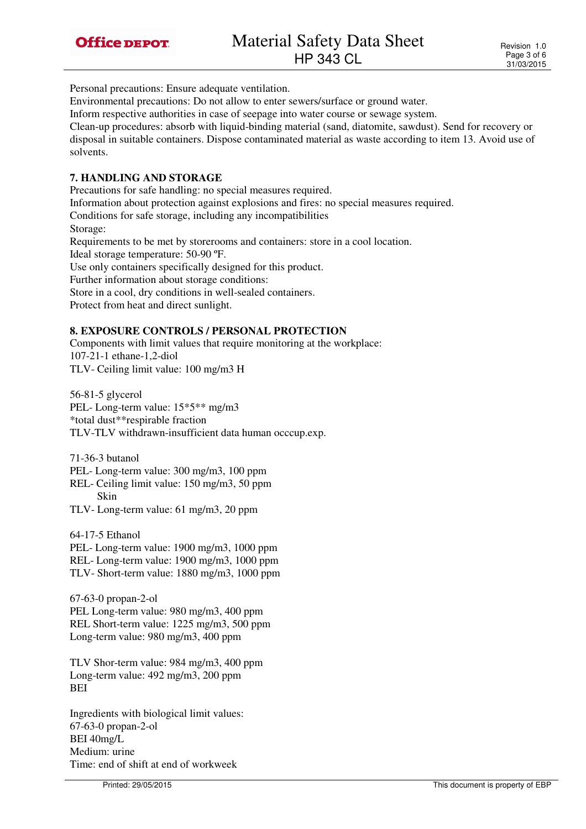Personal precautions: Ensure adequate ventilation.

Environmental precautions: Do not allow to enter sewers/surface or ground water.

Inform respective authorities in case of seepage into water course or sewage system.

Clean-up procedures: absorb with liquid-binding material (sand, diatomite, sawdust). Send for recovery or disposal in suitable containers. Dispose contaminated material as waste according to item 13. Avoid use of solvents.

## **7. HANDLING AND STORAGE**

Precautions for safe handling: no special measures required. Information about protection against explosions and fires: no special measures required. Conditions for safe storage, including any incompatibilities Storage: Requirements to be met by storerooms and containers: store in a cool location. Ideal storage temperature: 50-90 ºF. Use only containers specifically designed for this product. Further information about storage conditions: Store in a cool, dry conditions in well-sealed containers. Protect from heat and direct sunlight.

# **8. EXPOSURE CONTROLS / PERSONAL PROTECTION**

Components with limit values that require monitoring at the workplace: 107-21-1 ethane-1,2-diol TLV- Ceiling limit value: 100 mg/m3 H

56-81-5 glycerol PEL- Long-term value: 15\*5\*\* mg/m3 \*total dust\*\*respirable fraction TLV-TLV withdrawn-insufficient data human occcup.exp.

71-36-3 butanol

PEL- Long-term value: 300 mg/m3, 100 ppm

REL- Ceiling limit value: 150 mg/m3, 50 ppm Skin

TLV- Long-term value: 61 mg/m3, 20 ppm

64-17-5 Ethanol

PEL- Long-term value: 1900 mg/m3, 1000 ppm REL- Long-term value: 1900 mg/m3, 1000 ppm TLV- Short-term value: 1880 mg/m3, 1000 ppm

67-63-0 propan-2-ol PEL Long-term value: 980 mg/m3, 400 ppm REL Short-term value: 1225 mg/m3, 500 ppm Long-term value: 980 mg/m3, 400 ppm

TLV Shor-term value: 984 mg/m3, 400 ppm Long-term value: 492 mg/m3, 200 ppm BEI

Ingredients with biological limit values: 67-63-0 propan-2-ol BEI 40mg/L Medium: urine Time: end of shift at end of workweek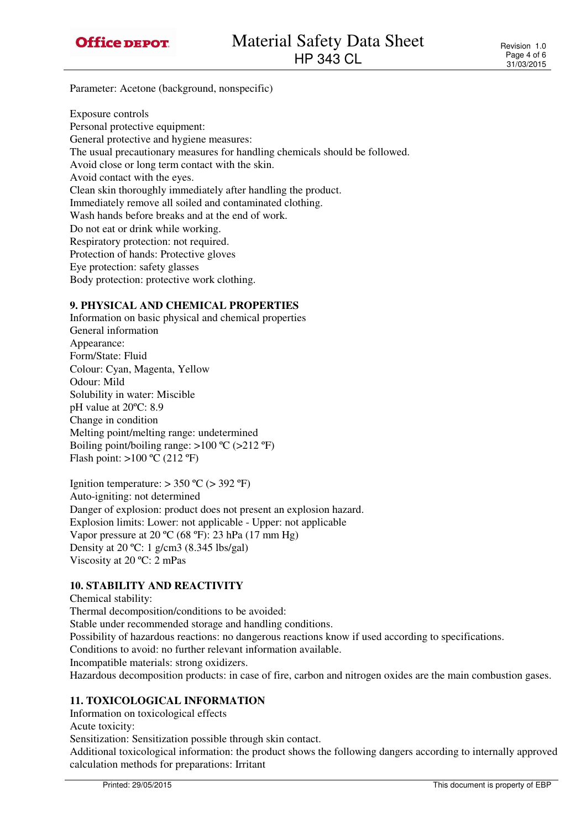

Parameter: Acetone (background, nonspecific)

Exposure controls Personal protective equipment: General protective and hygiene measures: The usual precautionary measures for handling chemicals should be followed. Avoid close or long term contact with the skin. Avoid contact with the eyes. Clean skin thoroughly immediately after handling the product. Immediately remove all soiled and contaminated clothing. Wash hands before breaks and at the end of work. Do not eat or drink while working. Respiratory protection: not required. Protection of hands: Protective gloves Eye protection: safety glasses Body protection: protective work clothing.

## **9. PHYSICAL AND CHEMICAL PROPERTIES**

Information on basic physical and chemical properties General information Appearance: Form/State: Fluid Colour: Cyan, Magenta, Yellow Odour: Mild Solubility in water: Miscible pH value at 20ºC: 8.9 Change in condition Melting point/melting range: undetermined Boiling point/boiling range:  $>100 \degree C$  ( $>212 \degree F$ ) Flash point:  $>100 \degree C$  (212 °F)

Ignition temperature:  $> 350$  °C ( $> 392$  °F) Auto-igniting: not determined Danger of explosion: product does not present an explosion hazard. Explosion limits: Lower: not applicable - Upper: not applicable Vapor pressure at 20 ºC (68 ºF): 23 hPa (17 mm Hg) Density at 20 ºC: 1 g/cm3 (8.345 lbs/gal) Viscosity at 20 ºC: 2 mPas

# **10. STABILITY AND REACTIVITY**

Chemical stability: Thermal decomposition/conditions to be avoided: Stable under recommended storage and handling conditions. Possibility of hazardous reactions: no dangerous reactions know if used according to specifications. Conditions to avoid: no further relevant information available. Incompatible materials: strong oxidizers. Hazardous decomposition products: in case of fire, carbon and nitrogen oxides are the main combustion gases.

# **11. TOXICOLOGICAL INFORMATION**

Information on toxicological effects

Acute toxicity:

Sensitization: Sensitization possible through skin contact.

Additional toxicological information: the product shows the following dangers according to internally approved calculation methods for preparations: Irritant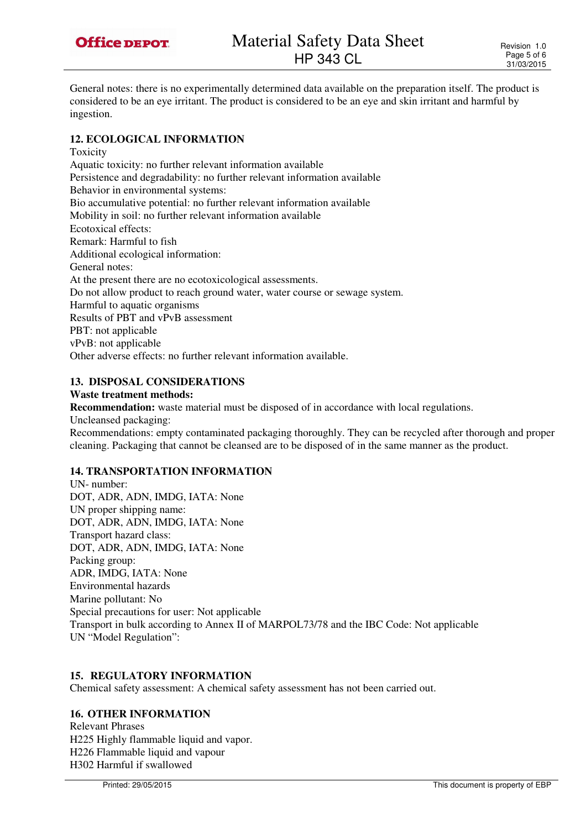

General notes: there is no experimentally determined data available on the preparation itself. The product is considered to be an eye irritant. The product is considered to be an eye and skin irritant and harmful by ingestion.

## **12. ECOLOGICAL INFORMATION**

Toxicity Aquatic toxicity: no further relevant information available Persistence and degradability: no further relevant information available Behavior in environmental systems: Bio accumulative potential: no further relevant information available Mobility in soil: no further relevant information available Ecotoxical effects: Remark: Harmful to fish Additional ecological information: General notes: At the present there are no ecotoxicological assessments. Do not allow product to reach ground water, water course or sewage system. Harmful to aquatic organisms Results of PBT and vPvB assessment PBT: not applicable vPvB: not applicable Other adverse effects: no further relevant information available.

# **13. DISPOSAL CONSIDERATIONS**

#### **Waste treatment methods:**

**Recommendation:** waste material must be disposed of in accordance with local regulations. Uncleansed packaging: Recommendations: empty contaminated packaging thoroughly. They can be recycled after thorough and proper cleaning. Packaging that cannot be cleansed are to be disposed of in the same manner as the product.

# **14. TRANSPORTATION INFORMATION**

UN- number: DOT, ADR, ADN, IMDG, IATA: None UN proper shipping name: DOT, ADR, ADN, IMDG, IATA: None Transport hazard class: DOT, ADR, ADN, IMDG, IATA: None Packing group: ADR, IMDG, IATA: None Environmental hazards Marine pollutant: No Special precautions for user: Not applicable Transport in bulk according to Annex II of MARPOL73/78 and the IBC Code: Not applicable UN "Model Regulation":

## **15. REGULATORY INFORMATION**

Chemical safety assessment: A chemical safety assessment has not been carried out.

## **16. OTHER INFORMATION**

Relevant Phrases H225 Highly flammable liquid and vapor. H226 Flammable liquid and vapour H302 Harmful if swallowed